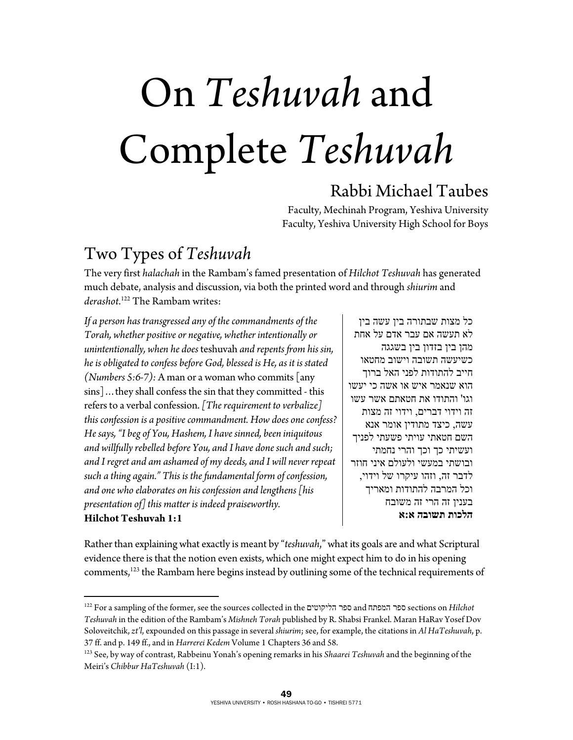# On *Teshuvah* and Complete *Teshuvah*

### Rabbi Michael Taubes

Faculty, Mechinah Program, Yeshiva University Faculty, Yeshiva University High School for Boys

### Two Types of *Teshuvah*

 $\overline{a}$ 

The very first *halachah* in the Rambam's famed presentation of *Hilchot Teshuvah* has generated much debate, analysis and discussion, via both the printed word and through *shiurim* and *derashot*. 122 The Rambam writes:

*If a person has transgressed any of the commandments of the Torah, whether positive or negative, whether intentionally or unintentionally, when he does* teshuvah *and repents from his sin, he is obligated to confess before God, blessed is He, as it is stated (Numbers 5:6-7):* A man or a woman who commits [any sins]…they shall confess the sin that they committed - this refers to a verbal confession. *[The requirement to verbalize] this confession is a positive commandment. How does one confess? He says, "I beg of You, Hashem, I have sinned, been iniquitous and willfully rebelled before You, and I have done such and such; and I regret and am ashamed of my deeds, and I will never repeat such a thing again." This is the fundamental form of confession, and one who elaborates on his confession and lengthens [his presentation of] this matter is indeed praiseworthy.*  **Hilchot Teshuvah 1:1** 

כל מצות שבתורה בין עשה בין לא תעשה אם עבר אדם על אחת מהן בין בזדון בין בשגגה כשיעשה תשובה וישוב מחטאו חייב להתודות לפני האל ברוך הוא שנאמר איש או אשה כי יעשו וגו' והתודו את חטאתם אשר עשו זה וידוי דברים, וידוי זה מצות עשה, כיצד מתודין אומר אנא השם חטאתי עויתי פשעתי לפניך ועשיתי כך וכך והרי נחמתי ובושתי במעשי ולעולם איני חוזר לדבר זה, וזהו עיקרו של וידוי, וכל המרבה להתודות ומאריך בענין זה הרי זה משובח **הלכות תשובה א:א**

Rather than explaining what exactly is meant by "*teshuvah*," what its goals are and what Scriptural evidence there is that the notion even exists, which one might expect him to do in his opening comments,<sup>123</sup> the Rambam here begins instead by outlining some of the technical requirements of

<sup>122</sup> For a sampling of the former, see the sources collected in the הליקוטים ספר and המפתח ספר sections on *Hilchot Teshuvah* in the edition of the Rambam's *Mishneh Torah* published by R. Shabsi Frankel. Maran HaRav Yosef Dov Soloveitchik, *zt'l*, expounded on this passage in several *shiurim*; see, for example, the citations in *Al HaTeshuvah*, p. 37 ff. and p. 149 ff., and in *Harrerei Kedem* Volume 1 Chapters 36 and 58.

<sup>123</sup> See, by way of contrast, Rabbeinu Yonah's opening remarks in his *Shaarei Teshuvah* and the beginning of the Meiri's *Chibbur HaTeshuvah* (I:1).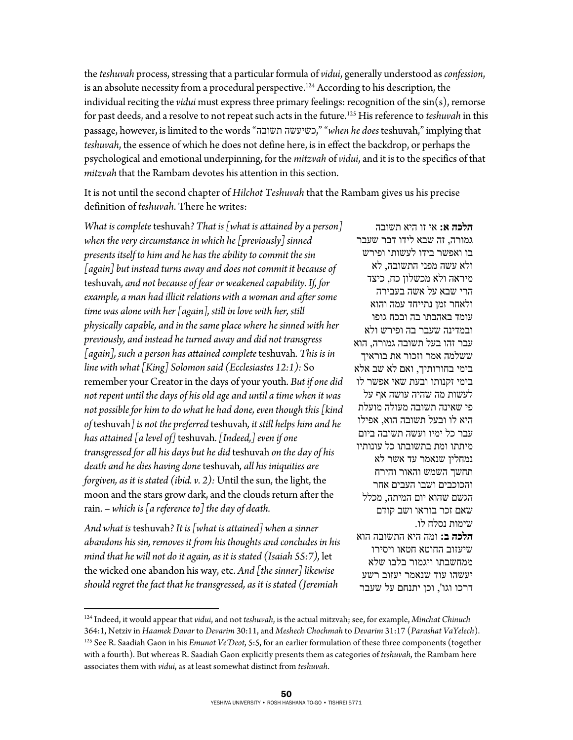the *teshuvah* process, stressing that a particular formula of *vidui*, generally understood as *confession*, is an absolute necessity from a procedural perspective.<sup>124</sup> According to his description, the individual reciting the *vidui* must express three primary feelings: recognition of the sin(s), remorse for past deeds, and a resolve to not repeat such acts in the future.125 His reference to *teshuvah* in this passage, however, is limited to the words "תשובה כשיעשה," "*when he does* teshuvah," implying that *teshuvah*, the essence of which he does not define here, is in effect the backdrop, or perhaps the psychological and emotional underpinning, for the *mitzvah* of *vidui*, and it is to the specifics of that *mitzvah* that the Rambam devotes his attention in this section.

It is not until the second chapter of *Hilchot Teshuvah* that the Rambam gives us his precise definition of *teshuvah*. There he writes:

*What is complete* teshuvah*? That is [what is attained by a person] when the very circumstance in which he [previously] sinned presents itself to him and he has the ability to commit the sin [again] but instead turns away and does not commit it because of*  teshuvah*, and not because of fear or weakened capability. If, for example, a man had illicit relations with a woman and after some time was alone with her [again], still in love with her, still physically capable, and in the same place where he sinned with her previously, and instead he turned away and did not transgress [again], such a person has attained complete* teshuvah*. This is in line with what [King] Solomon said (Ecclesiastes 12:1):* So remember your Creator in the days of your youth. *But if one did not repent until the days of his old age and until a time when it was not possible for him to do what he had done, even though this [kind of* teshuvah*] is not the preferred* teshuvah*, it still helps him and he has attained [a level of]* teshuvah*. [Indeed,] even if one transgressed for all his days but he did* teshuvah *on the day of his death and he dies having done* teshuvah*, all his iniquities are forgiven, as it is stated (ibid. v. 2):* Until the sun, the light, the moon and the stars grow dark, and the clouds return after the rain. *– which is [a reference to] the day of death.* 

*And what is* teshuvah*? It is [what is attained] when a sinner abandons his sin, removes it from his thoughts and concludes in his mind that he will not do it again, as it is stated (Isaiah 55:7),* let the wicked one abandon his way, etc. *And [the sinner] likewise should regret the fact that he transgressed, as it is stated (Jeremiah* 

 $\overline{a}$ 

**הלכה א:** אי זו היא תשובה גמורה, זה שבא לידו דבר שעבר בו ואפשר בידו לעשותו ופירש ולא עשה מפני התשובה, לא מיראה ולא מכשלון כח, כיצד הרי שבא על אשה בעבירה ולאחר זמן נתייחד עמה והוא עומד באהבתו בה ובכח גופו ובמדינה שעבר בה ופירש ולא עבר זהו בעל תשובה גמורה, הוא ששלמה אמר וזכור את בוראיך בימי בחורותיך, ואם לא שב אלא בימי זקנותו ובעת שאי אפשר לו לעשות מה שהיה עושה אף על פי שאינה תשובה מעולה מועלת היא לו ובעל תשובה הוא, אפילו עבר כל ימיו ועשה תשובה ביום מיתתו ומת בתשובתו כל עונותיו נמחלין שנאמר עד אשר לא תחשך השמש והאור והירח והכוכבים ושבו העבים אחר הגשם שהוא יום המיתה, מכלל שאם זכר בוראו ושב קודם שימות נסלח לו. **הלכה ב:** ומה היא התשובה הוא שיעזוב החוטא חטאו ויסירו ממחשבתו ויגמור בלבו שלא יעשהו עוד שנאמר יעזוב רשע דרכו וגו', וכן יתנחם על שעבר

<sup>124</sup> Indeed, it would appear that *vidui*, and not *teshuvah*, is the actual mitzvah; see, for example, *Minchat Chinuch*  364:1, Netziv in Haamek Davar to Devarim 30:11, and Meshech Chochmah to Devarim 31:17 (Parashat VaYelech).<br><sup>125</sup> See R. Saadiah Gaon in his *Emunot Ve'Deot*, 5:5, for an earlier formulation of these three components (toget with a fourth). But whereas R. Saadiah Gaon explicitly presents them as categories of *teshuvah*, the Rambam here associates them with *vidui*, as at least somewhat distinct from *teshuvah*.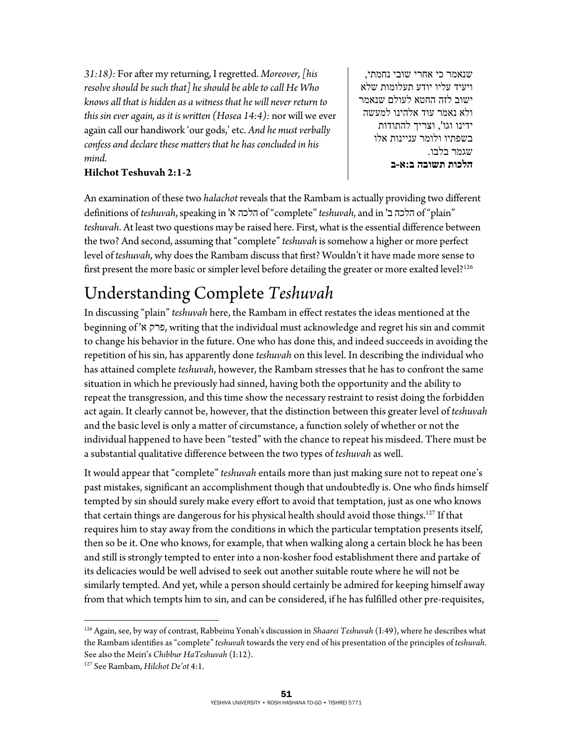*31:18):* For after my returning, I regretted. *Moreover, [his resolve should be such that] he should be able to call He Who knows all that is hidden as a witness that he will never return to this sin ever again, as it is written (Hosea 14:4):* nor will we ever again call our handiwork 'our gods,' etc. *And he must verbally confess and declare these matters that he has concluded in his mind.* 

#### **Hilchot Teshuvah 2:1-2**

שנאמר כי אחרי שובי נחמתי, ויעיד עליו יודע תעלומות שלא ישוב לזה החטא לעולם שנאמר ולא נאמר עוד אלהינו למעשה ידינו וגו', וצריך להתודות בשפתיו ולומר עניינות אלו שגמר בלבו. **הלכות תשובה ב:א-ב**

An examination of these two *halachot* reveals that the Rambam is actually providing two different definitions of *teshuvah*, speaking in 'א הלכה of "complete" *teshuvah*, and in 'הלכה ב<sup>ו</sup> of "plain" *teshuvah*. At least two questions may be raised here. First, what is the essential difference between the two? And second, assuming that "complete" *teshuvah* is somehow a higher or more perfect level of *teshuvah*, why does the Rambam discuss that first? Wouldn't it have made more sense to first present the more basic or simpler level before detailing the greater or more exalted level?<sup>126</sup>

# Understanding Complete *Teshuvah* In discussing "plain" *teshuvah* here, the Rambam in effect restates the ideas mentioned at the

beginning of 'א פרק, writing that the individual must acknowledge and regret his sin and commit to change his behavior in the future. One who has done this, and indeed succeeds in avoiding the repetition of his sin, has apparently done *teshuvah* on this level. In describing the individual who has attained complete *teshuvah*, however, the Rambam stresses that he has to confront the same situation in which he previously had sinned, having both the opportunity and the ability to repeat the transgression, and this time show the necessary restraint to resist doing the forbidden act again. It clearly cannot be, however, that the distinction between this greater level of *teshuvah* and the basic level is only a matter of circumstance, a function solely of whether or not the individual happened to have been "tested" with the chance to repeat his misdeed. There must be a substantial qualitative difference between the two types of *teshuvah* as well.

It would appear that "complete" *teshuvah* entails more than just making sure not to repeat one's past mistakes, significant an accomplishment though that undoubtedly is. One who finds himself tempted by sin should surely make every effort to avoid that temptation, just as one who knows that certain things are dangerous for his physical health should avoid those things.<sup>127</sup> If that requires him to stay away from the conditions in which the particular temptation presents itself, then so be it. One who knows, for example, that when walking along a certain block he has been and still is strongly tempted to enter into a non-kosher food establishment there and partake of its delicacies would be well advised to seek out another suitable route where he will not be similarly tempted. And yet, while a person should certainly be admired for keeping himself away from that which tempts him to sin, and can be considered, if he has fulfilled other pre-requisites,

 $\overline{a}$ 

<sup>126</sup> Again, see, by way of contrast, Rabbeinu Yonah's discussion in *Shaarei Teshuvah* (I:49), where he describes what the Rambam identifies as "complete" *teshuvah* towards the very end of his presentation of the principles of *teshuvah*. See also the Meiri's *Chibbur HaTeshuvah* (I:12).<br><sup>127</sup> See Rambam, *Hilchot De'ot* 4:1.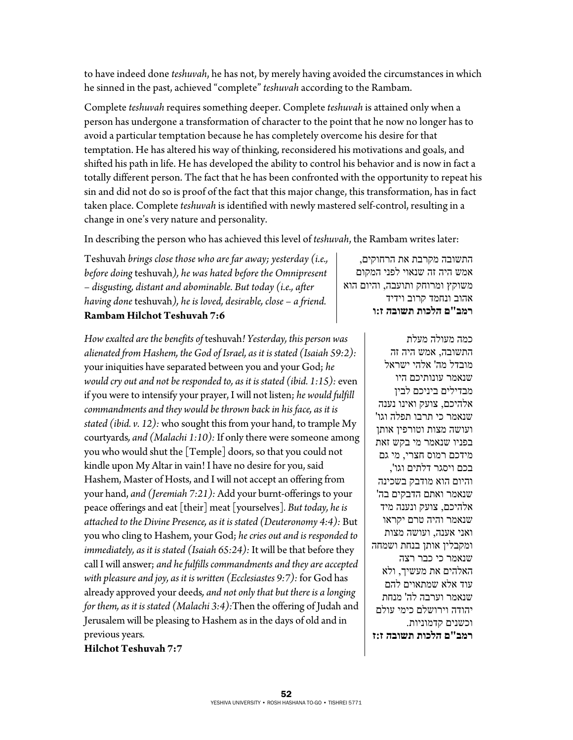to have indeed done *teshuvah*, he has not, by merely having avoided the circumstances in which he sinned in the past, achieved "complete" *teshuvah* according to the Rambam.

Complete *teshuvah* requires something deeper. Complete *teshuvah* is attained only when a person has undergone a transformation of character to the point that he now no longer has to avoid a particular temptation because he has completely overcome his desire for that temptation. He has altered his way of thinking, reconsidered his motivations and goals, and shifted his path in life. He has developed the ability to control his behavior and is now in fact a totally different person. The fact that he has been confronted with the opportunity to repeat his sin and did not do so is proof of the fact that this major change, this transformation, has in fact taken place. Complete *teshuvah* is identified with newly mastered self-control, resulting in a change in one's very nature and personality.

In describing the person who has achieved this level of *teshuvah*, the Rambam writes later:

Teshuvah *brings close those who are far away; yesterday (i.e., before doing* teshuvah*), he was hated before the Omnipresent – disgusting, distant and abominable. But today (i.e., after having done* teshuvah*), he is loved, desirable, close – a friend.*  **Rambam Hilchot Teshuvah 7:6** 

*How exalted are the benefits of* teshuvah*! Yesterday, this person was alienated from Hashem, the God of Israel, as it is stated (Isaiah 59:2):*  your iniquities have separated between you and your God; *he would cry out and not be responded to, as it is stated (ibid. 1:15):* even if you were to intensify your prayer, I will not listen; *he would fulfill commandments and they would be thrown back in his face, as it is stated (ibid. v. 12):* who sought this from your hand, to trample My courtyards*, and (Malachi 1:10):* If only there were someone among you who would shut the [Temple] doors, so that you could not kindle upon My Altar in vain! I have no desire for you, said Hashem, Master of Hosts, and I will not accept an offering from your hand, *and (Jeremiah 7:21):* Add your burnt-offerings to your peace offerings and eat [their] meat [yourselves]*. But today, he is attached to the Divine Presence, as it is stated (Deuteronomy 4:4):* But you who cling to Hashem, your God; *he cries out and is responded to immediately, as it is stated (Isaiah 65:24):* It will be that before they call I will answer; *and he fulfills commandments and they are accepted with pleasure and joy, as it is written (Ecclesiastes 9:7):* for God has already approved your deeds*, and not only that but there is a longing for them, as it is stated (Malachi 3:4):*Then the offering of Judah and Jerusalem will be pleasing to Hashem as in the days of old and in previous years*.* 

התשובה מקרבת את הרחוקים, אמש היה זה שנאוי לפני המקום משוקץ ומרוחק ותועבה, והיום הוא אהוב ונחמד קרוב וידיד **רמב"ם הלכות תשובה ז:ו**

> כמה מעולה מעלת התשובה, אמש היה זה מובדל מה' אלהי ישראל שנאמר עונותיכם היו מבדילים ביניכם לבין אלהיכם, צועק ואינו נענה שנאמר כי תרבו תפלה וגו' ועושה מצות וטורפין אותן בפניו שנאמר מי בקש זאת מידכם רמוס חצרי, מי גם בכם ויסגר דלתים וגו', והיום הוא מודבק בשכינה שנאמר ואתם הדבקים בה' אלהיכם, צועק ונענה מיד שנאמר והיה טרם יקראו ואני אענה, ועושה מצות ומקבלין אותן בנחת ושמחה שנאמר כי כבר רצה האלהים את מעשיך, ולא עוד אלא שמתאוים להם שנאמר וערבה לה' מנחת יהודה וירושלם כימי עולם וכשנים קדמוניות. **רמב"ם הלכות תשובה ז:ז**

**Hilchot Teshuvah 7:7**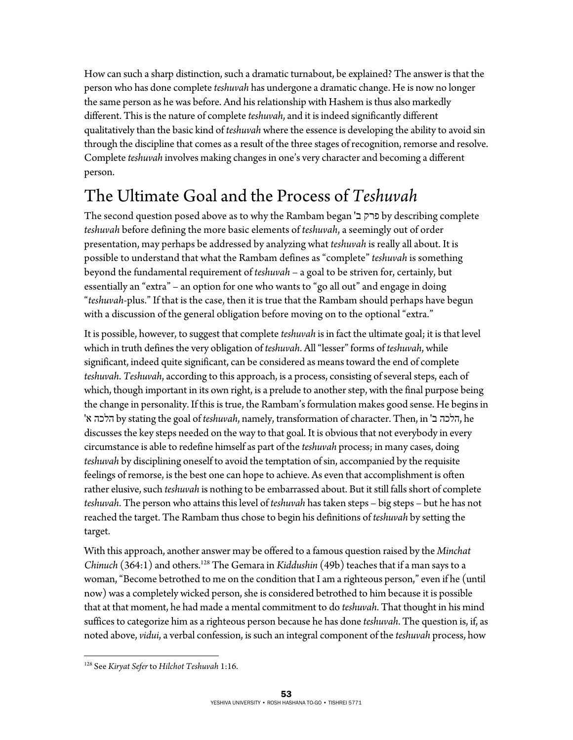How can such a sharp distinction, such a dramatic turnabout, be explained? The answer is that the person who has done complete *teshuvah* has undergone a dramatic change. He is now no longer the same person as he was before. And his relationship with Hashem is thus also markedly different. This is the nature of complete *teshuvah*, and it is indeed significantly different qualitatively than the basic kind of *teshuvah* where the essence is developing the ability to avoid sin through the discipline that comes as a result of the three stages of recognition, remorse and resolve. Complete *teshuvah* involves making changes in one's very character and becoming a different person.

### The Ultimate Goal and the Process of *Teshuvah*

The second question posed above as to why the Rambam began 'ב פרק by describing complete *teshuvah* before defining the more basic elements of *teshuvah*, a seemingly out of order presentation, may perhaps be addressed by analyzing what *teshuvah* is really all about. It is possible to understand that what the Rambam defines as "complete" *teshuvah* is something beyond the fundamental requirement of *teshuvah* – a goal to be striven for, certainly, but essentially an "extra" – an option for one who wants to "go all out" and engage in doing "*teshuvah*-plus." If that is the case, then it is true that the Rambam should perhaps have begun with a discussion of the general obligation before moving on to the optional "extra."

It is possible, however, to suggest that complete *teshuvah* is in fact the ultimate goal; it is that level which in truth defines the very obligation of *teshuvah*. All "lesser" forms of *teshuvah*, while significant, indeed quite significant, can be considered as means toward the end of complete *teshuvah*. *Teshuvah*, according to this approach, is a process, consisting of several steps, each of which, though important in its own right, is a prelude to another step, with the final purpose being the change in personality. If this is true, the Rambam's formulation makes good sense. He begins in 'א הלכה by stating the goal of *teshuvah*, namely, transformation of character. Then, in 'ב הלכה, he discusses the key steps needed on the way to that goal. It is obvious that not everybody in every circumstance is able to redefine himself as part of the *teshuvah* process; in many cases, doing *teshuvah* by disciplining oneself to avoid the temptation of sin, accompanied by the requisite feelings of remorse, is the best one can hope to achieve. As even that accomplishment is often rather elusive, such *teshuvah* is nothing to be embarrassed about. But it still falls short of complete *teshuvah*. The person who attains this level of *teshuvah* has taken steps – big steps – but he has not reached the target. The Rambam thus chose to begin his definitions of *teshuvah* by setting the target.

With this approach, another answer may be offered to a famous question raised by the *Minchat Chinuch* (364:1) and others.128 The Gemara in *Kiddushin* (49b) teaches that if a man says to a woman, "Become betrothed to me on the condition that I am a righteous person," even if he (until now) was a completely wicked person, she is considered betrothed to him because it is possible that at that moment, he had made a mental commitment to do *teshuvah*. That thought in his mind suffices to categorize him as a righteous person because he has done *teshuvah*. The question is, if, as noted above, *vidui*, a verbal confession, is such an integral component of the *teshuvah* process, how

 $\overline{a}$ 128 See *Kiryat Sefer* to *Hilchot Teshuvah* 1:16.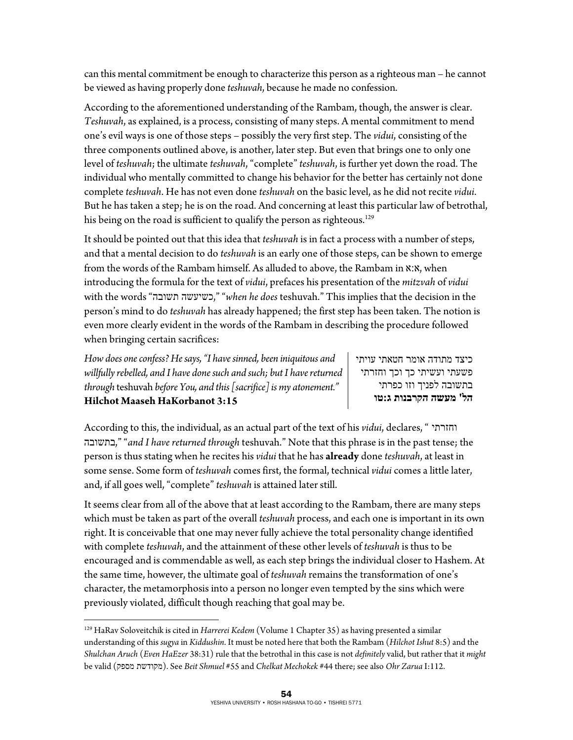can this mental commitment be enough to characterize this person as a righteous man – he cannot be viewed as having properly done *teshuvah*, because he made no confession.

According to the aforementioned understanding of the Rambam, though, the answer is clear. *Teshuvah*, as explained, is a process, consisting of many steps. A mental commitment to mend one's evil ways is one of those steps – possibly the very first step. The *vidui*, consisting of the three components outlined above, is another, later step. But even that brings one to only one level of *teshuvah*; the ultimate *teshuvah*, "complete" *teshuvah*, is further yet down the road. The individual who mentally committed to change his behavior for the better has certainly not done complete *teshuvah*. He has not even done *teshuvah* on the basic level, as he did not recite *vidui*. But he has taken a step; he is on the road. And concerning at least this particular law of betrothal, his being on the road is sufficient to qualify the person as righteous.<sup>129</sup>

It should be pointed out that this idea that *teshuvah* is in fact a process with a number of steps, and that a mental decision to do *teshuvah* is an early one of those steps, can be shown to emerge from the words of the Rambam himself. As alluded to above, the Rambam in א:א, when introducing the formula for the text of *vidui*, prefaces his presentation of the *mitzvah* of *vidui* with the words "תשובה כשיעשה," "*when he does* teshuvah." This implies that the decision in the person's mind to do *teshuvah* has already happened; the first step has been taken. The notion is even more clearly evident in the words of the Rambam in describing the procedure followed when bringing certain sacrifices:

*How does one confess? He says, "I have sinned, been iniquitous and willfully rebelled, and I have done such and such; but I have returned through* teshuvah *before You, and this [sacrifice] is my atonement."*  **Hilchot Maaseh HaKorbanot 3:15** 

 $\overline{a}$ 

כיצד מתודה אומר חטאתי עויתי פשעתי ועשיתי כך וכך וחזרתי בתשובה לפניך וזו כפרתי **הל' מעשה הקרבנות ג:טו**

According to this, the individual, as an actual part of the text of his *vidui*, declares, " וחזרתי בתשובה," "*and I have returned through* teshuvah." Note that this phrase is in the past tense; the person is thus stating when he recites his *vidui* that he has **already** done *teshuvah*, at least in some sense. Some form of *teshuvah* comes first, the formal, technical *vidui* comes a little later, and, if all goes well, "complete" *teshuvah* is attained later still.

It seems clear from all of the above that at least according to the Rambam, there are many steps which must be taken as part of the overall *teshuvah* process, and each one is important in its own right. It is conceivable that one may never fully achieve the total personality change identified with complete *teshuvah*, and the attainment of these other levels of *teshuvah* is thus to be encouraged and is commendable as well, as each step brings the individual closer to Hashem. At the same time, however, the ultimate goal of *teshuvah* remains the transformation of one's character, the metamorphosis into a person no longer even tempted by the sins which were previously violated, difficult though reaching that goal may be.

<sup>129</sup> HaRav Soloveitchik is cited in *Harrerei Kedem* (Volume 1 Chapter 35) as having presented a similar understanding of this *sugya* in *Kiddushin*. It must be noted here that both the Rambam (*Hilchot Ishut* 8:5) and the *Shulchan Aruch* (*Even HaEzer* 38:31) rule that the betrothal in this case is not *definitely* valid, but rather that it *might* be valid (מספק מקודשת(. See *Beit Shmuel* #55 and *Chelkat Mechokek* #44 there; see also *Ohr Zarua* I:112.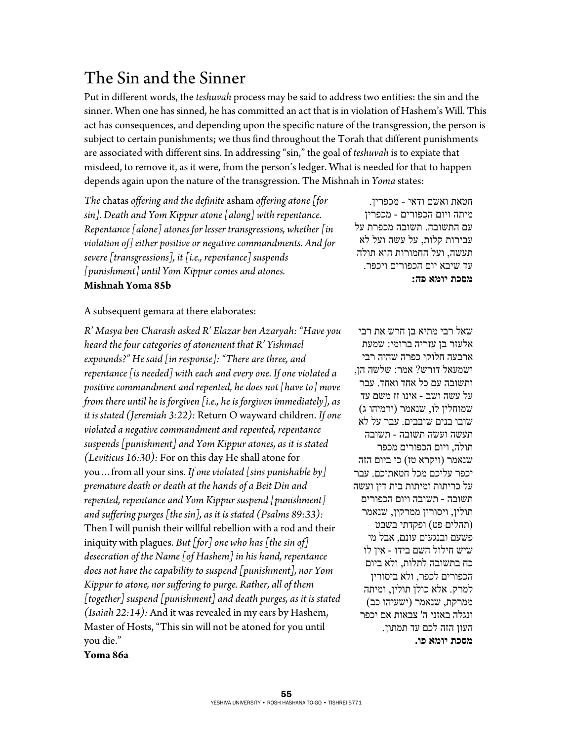### The Sin and the Sinner

Put in different words, the *teshuvah* process may be said to address two entities: the sin and the sinner. When one has sinned, he has committed an act that is in violation of Hashem's Will. This act has consequences, and depending upon the specific nature of the transgression, the person is subject to certain punishments; we thus find throughout the Torah that different punishments are associated with different sins. In addressing "sin," the goal of *teshuvah* is to expiate that misdeed, to remove it, as it were, from the person's ledger. What is needed for that to happen depends again upon the nature of the transgression. The Mishnah in *Yoma* states:

*The* chatas *offering and the definite* asham *offering atone [for sin]. Death and Yom Kippur atone [along] with repentance. Repentance [alone] atones for lesser transgressions, whether [in violation of] either positive or negative commandments. And for severe [transgressions], it [i.e., repentance] suspends [punishment] until Yom Kippur comes and atones.*  **Mishnah Yoma 85b** 

חטאת ואשם ודאי - מכפרין. מיתה ויום הכפורים - מכפרין עם התשובה. תשובה מכפרת על עבירות קלות, על עשה ועל לא תעשה, ועל החמורות הוא תולה עד שיבא יום הכפורים ויכפר. **מסכת יומא פה:**

### A subsequent gemara at there elaborates:

*R' Masya ben Charash asked R' Elazar ben Azaryah: "Have you heard the four categories of atonement that R' Yishmael expounds?" He said [in response]: "There are three, and repentance [is needed] with each and every one. If one violated a positive commandment and repented, he does not [have to] move from there until he is forgiven [i.e., he is forgiven immediately], as it is stated (Jeremiah 3:22):* Return O wayward children. *If one violated a negative commandment and repented, repentance suspends [punishment] and Yom Kippur atones, as it is stated (Leviticus 16:30):* For on this day He shall atone for you…from all your sins. *If one violated [sins punishable by] premature death or death at the hands of a Beit Din and repented, repentance and Yom Kippur suspend [punishment] and suffering purges [the sin], as it is stated (Psalms 89:33):*  Then I will punish their willful rebellion with a rod and their iniquity with plagues. *But [for] one who has [the sin of] desecration of the Name [of Hashem] in his hand, repentance does not have the capability to suspend [punishment], nor Yom Kippur to atone, nor suffering to purge. Rather, all of them [together] suspend [punishment] and death purges, as it is stated (Isaiah 22:14):* And it was revealed in my ears by Hashem, Master of Hosts, "This sin will not be atoned for you until you die."

שאל רבי מתיא בן חרש את רבי אלעזר בן עזריה ברומי: שמעת ארבעה חלוקי כפרה שהיה רבי ישמעאל דורש? אמר: שלשה הן, ותשובה עם כל אחד ואחד. עבר על עשה ושב - אינו זז משם עד שמוחלין לו, שנאמר (ירמיהו ג) שובו בנים שובבים. עבר על לא תעשה ועשה תשובה - תשובה תולה, ויום הכפורים מכפר שנאמר (ויקרא טז) כי ביום הזה יכפר עליכם מכל חטאתיכם. עבר על כריתות ומיתות בית דין ועשה תשובה - תשובה ויום הכפורים תולין, ויסורין ממרקין, שנאמר (תהלים פט) ופקדתי בשבט פשעם ובנגעים עונם, אבל מי שיש חילול השם בידו - אין לו כח בתשובה לתלות, ולא ביום הכפורים לכפר, ולא ביסורין למרק. אלא כולן תולין, ומיתה ממרקת, שנאמר (ישעיהו כב) ונגלה באזני ה' צבאות אם יכפר העון הזה לכם עד תמתון. **מסכת יומא פו.**

**Yoma 86a**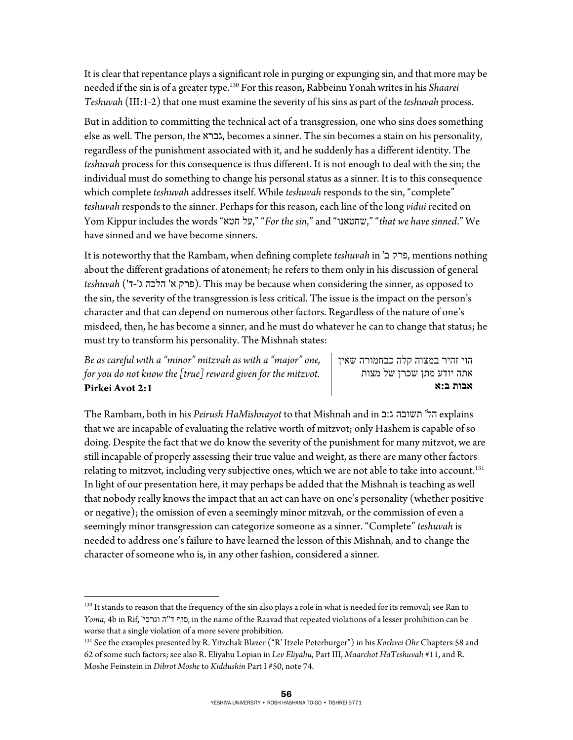It is clear that repentance plays a significant role in purging or expunging sin, and that more may be needed if the sin is of a greater type.130 For this reason, Rabbeinu Yonah writes in his *Shaarei Teshuvah* (III:1-2) that one must examine the severity of his sins as part of the *teshuvah* process.

But in addition to committing the technical act of a transgression, one who sins does something else as well. The person, the גברא, becomes a sinner. The sin becomes a stain on his personality, regardless of the punishment associated with it, and he suddenly has a different identity. The *teshuvah* process for this consequence is thus different. It is not enough to deal with the sin; the individual must do something to change his personal status as a sinner. It is to this consequence which complete *teshuvah* addresses itself. While *teshuvah* responds to the sin, "complete" *teshuvah* responds to the sinner. Perhaps for this reason, each line of the long *vidui* recited on Yom Kippur includes the words "חטא על," "*For the sin*," and "שחטאנו," "*that we have sinned*." We have sinned and we have become sinners.

It is noteworthy that the Rambam, when defining complete *teshuvah* in 'ב פרק, mentions nothing about the different gradations of atonement; he refers to them only in his discussion of general *teshuvah* ('ד-'ג הלכה' א פרק(. This may be because when considering the sinner, as opposed to the sin, the severity of the transgression is less critical. The issue is the impact on the person's character and that can depend on numerous other factors. Regardless of the nature of one's misdeed, then, he has become a sinner, and he must do whatever he can to change that status; he must try to transform his personality. The Mishnah states:

*Be as careful with a "minor" mitzvah as with a "major" one, for you do not know the [true] reward given for the mitzvot.*  **Pirkei Avot 2:1** 

1

הוי זהיר במצוה קלה כבחמורה שאין אתה יודע מתן שכרן של מצות **אבות ב:א**

The Rambam, both in his *Peirush HaMishnayot* to that Mishnah and in ב:ג תשובה' הל explains that we are incapable of evaluating the relative worth of mitzvot; only Hashem is capable of so doing. Despite the fact that we do know the severity of the punishment for many mitzvot, we are still incapable of properly assessing their true value and weight, as there are many other factors relating to mitzvot, including very subjective ones, which we are not able to take into account.<sup>131</sup> In light of our presentation here, it may perhaps be added that the Mishnah is teaching as well that nobody really knows the impact that an act can have on one's personality (whether positive or negative); the omission of even a seemingly minor mitzvah, or the commission of even a seemingly minor transgression can categorize someone as a sinner. "Complete" *teshuvah* is needed to address one's failure to have learned the lesson of this Mishnah, and to change the character of someone who is, in any other fashion, considered a sinner.

<sup>&</sup>lt;sup>130</sup> It stands to reason that the frequency of the sin also plays a role in what is needed for its removal; see Ran to *Yoma*, 4b in Rif, 'וגרסי ה"ד סוף, in the name of the Raavad that repeated violations of a lesser prohibition can be worse that a single violation of a more severe prohibition.

<sup>131</sup> See the examples presented by R. Yitzchak Blazer ("R' Itzele Peterburger") in his *Kochvei Ohr* Chapters 58 and 62 of some such factors; see also R. Eliyahu Lopian in *Lev Eliyahu*, Part III, *Maarchot HaTeshuvah* #11, and R. Moshe Feinstein in *Dibrot Moshe* to *Kiddushin* Part I #50, note 74.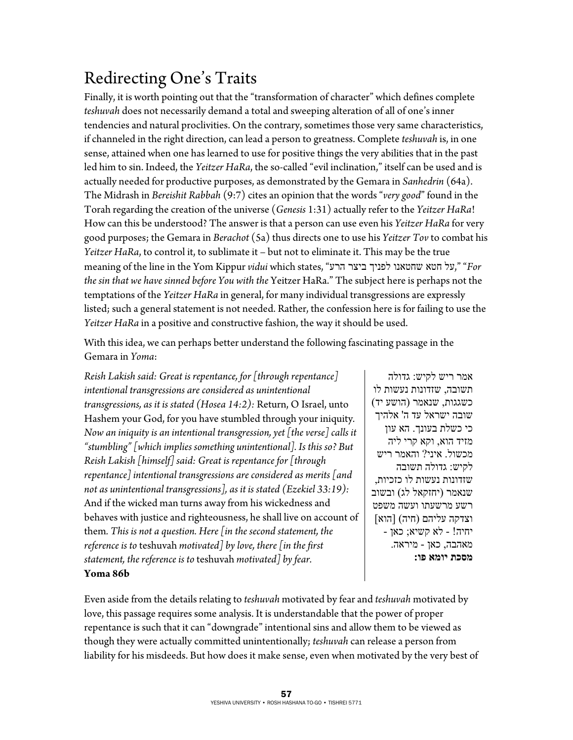## Redirecting One's Traits

Finally, it is worth pointing out that the "transformation of character" which defines complete *teshuvah* does not necessarily demand a total and sweeping alteration of all of one's inner tendencies and natural proclivities. On the contrary, sometimes those very same characteristics, if channeled in the right direction, can lead a person to greatness. Complete *teshuvah* is, in one sense, attained when one has learned to use for positive things the very abilities that in the past led him to sin. Indeed, the *Yeitzer HaRa*, the so-called "evil inclination," itself can be used and is actually needed for productive purposes, as demonstrated by the Gemara in *Sanhedrin* (64a). The Midrash in *Bereishit Rabbah* (9:7) cites an opinion that the words "*very good*" found in the Torah regarding the creation of the universe (*Genesis* 1:31) actually refer to the *Yeitzer HaRa*! How can this be understood? The answer is that a person can use even his *Yeitzer HaRa* for very good purposes; the Gemara in *Berachot* (5a) thus directs one to use his *Yeitzer Tov* to combat his *Yeitzer HaRa*, to control it, to sublimate it – but not to eliminate it. This may be the true meaning of the line in the Yom Kippur *vidui* which states, "העל הטא שחטאנו חטאנו לפניך שחטאנו חטאנו "*For the sin that we have sinned before You with the* Yeitzer HaRa." The subject here is perhaps not the temptations of the *Yeitzer HaRa* in general, for many individual transgressions are expressly listed; such a general statement is not needed. Rather, the confession here is for failing to use the *Yeitzer HaRa* in a positive and constructive fashion, the way it should be used.

With this idea, we can perhaps better understand the following fascinating passage in the Gemara in *Yoma*:

*Reish Lakish said: Great is repentance, for [through repentance] intentional transgressions are considered as unintentional transgressions, as it is stated (Hosea 14:2):* Return, O Israel, unto Hashem your God, for you have stumbled through your iniquity*. Now an iniquity is an intentional transgression, yet [the verse] calls it "stumbling" [which implies something unintentional]. Is this so? But Reish Lakish [himself] said: Great is repentance for [through repentance] intentional transgressions are considered as merits [and not as unintentional transgressions], as it is stated (Ezekiel 33:19):*  And if the wicked man turns away from his wickedness and behaves with justice and righteousness, he shall live on account of them*. This is not a question. Here [in the second statement, the reference is to* teshuvah *motivated] by love, there [in the first statement, the reference is to* teshuvah *motivated] by fear.*  **Yoma 86b** 

אמר ריש לקיש: גדולה תשובה, שזדונות נעשות לו כשגגות, שנאמר (הושע יד) שובה ישראל עד ה' אלהיך כי כשלת בעונך. הא עון מזיד הוא, וקא קרי ליה מכשול. איני? והאמר ריש לקיש: גדולה תשובה שזדונות נעשות לו כזכיות, שנאמר (יחזקאל לג) ובשוב רשע מרשעתו ועשה משפט וצדקה עליהם (חיה) [הוא] יחיה! - לא קשיא; כאן - מאהבה, כאן - מיראה. **מסכת יומא פו:**

Even aside from the details relating to *teshuvah* motivated by fear and *teshuvah* motivated by love, this passage requires some analysis. It is understandable that the power of proper repentance is such that it can "downgrade" intentional sins and allow them to be viewed as though they were actually committed unintentionally; *teshuvah* can release a person from liability for his misdeeds. But how does it make sense, even when motivated by the very best of